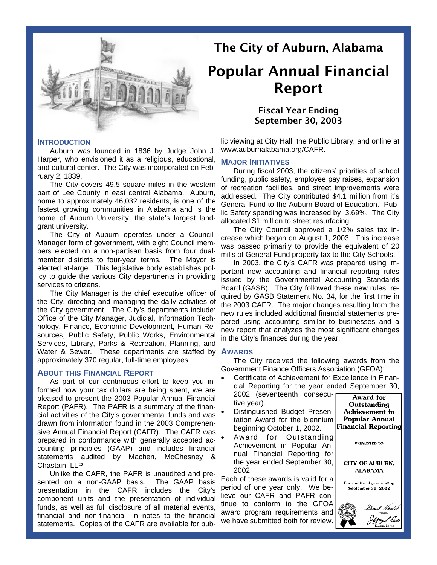

#### **INTRODUCTION**

Auburn was founded in 1836 by Judge John J. Harper, who envisioned it as a religious, educational, and cultural center. The City was incorporated on February 2, 1839.

The City covers 49.5 square miles in the western part of Lee County in east central Alabama. Auburn, home to approximately 46,032 residents, is one of the fastest growing communities in Alabama and is the home of Auburn University, the state's largest landgrant university.

The City of Auburn operates under a Council-Manager form of government, with eight Council members elected on a non-partisan basis from four dualmember districts to four-year terms. The Mayor is elected at-large. This legislative body establishes policy to guide the various City departments in providing services to citizens.

The City Manager is the chief executive officer of the City, directing and managing the daily activities of the City government. The City's departments include: Office of the City Manager, Judicial, Information Technology, Finance, Economic Development, Human Resources, Public Safety, Public Works, Environmental Services, Library, Parks & Recreation, Planning, and Water & Sewer. These departments are staffed by **AWARDS** approximately 370 regular, full-time employees.

### **ABOUT THIS FINANCIAL REPORT**

As part of our continuous effort to keep you informed how your tax dollars are being spent, we are pleased to present the 2003 Popular Annual Financial Report (PAFR). The PAFR is a summary of the financial activities of the City's governmental funds and was drawn from information found in the 2003 Comprehensive Annual Financial Report (CAFR). The CAFR was prepared in conformance with generally accepted accounting principles (GAAP) and includes financial statements audited by Machen, McChesney & Chastain, LLP.

Unlike the CAFR, the PAFR is unaudited and presented on a non-GAAP basis. The GAAP basis presentation in the CAFR includes the City's component units and the presentation of individual funds, as well as full disclosure of all material events, financial and non-financial, in notes to the financial statements. Copies of the CAFR are available for pub-

# The City of Auburn, Alabama

# Popular Annual Financial Report

# Fiscal Year Ending September 30, 2003

lic viewing at City Hall, the Public Library, and online at www.auburnalabama.org/CAFR.

# **MAJOR INITIATIVES**

During fiscal 2003, the citizens' priorities of school funding, public safety, employee pay raises, expansion of recreation facilities, and street improvements were addressed. The City contributed \$4.1 million from it's General Fund to the Auburn Board of Education. Public Safety spending was increased by 3.69%. The City allocated \$1 million to street resurfacing.

The City Council approved a 1/2% sales tax increase which began on August 1, 2003. This increase was passed primarily to provide the equivalent of 20 mills of General Fund property tax to the City Schools.

In 2003, the City's CAFR was prepared using important new accounting and financial reporting rules issued by the Governmental Accounting Standards Board (GASB). The City followed these new rules, required by GASB Statement No. 34, for the first time in the 2003 CAFR. The major changes resulting from the new rules included additional financial statements prepared using accounting similar to businesses and a new report that analyzes the most significant changes in the City's finances during the year.

The City received the following awards from the Government Finance Officers Association (GFOA):

- Certificate of Achievement for Excellence in Financial Reporting for the year ended September 30, 2002 (seventeenth consecu-**Award** for
- tive year). • Distinguished Budget Presentation Award for the biennium beginning October 1, 2002.
- Award for Outstanding Achievement in Popular Annual Financial Reporting for the year ended September 30, 2002.

Each of these awards is valid for a period of one year only. We believe our CAFR and PAFR continue to conform to the GFOA award program requirements and we have submitted both for review.

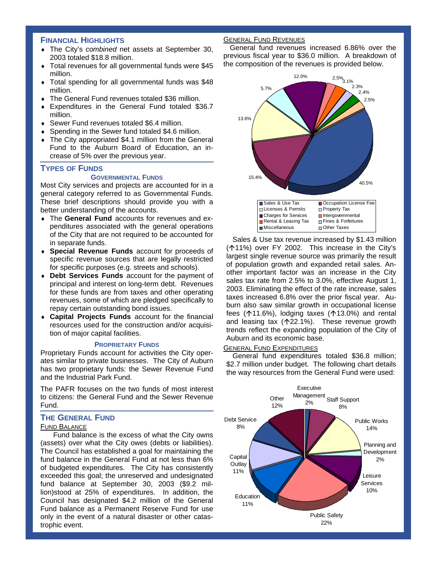# **FINANCIAL HIGHLIGHTS**

- ♦ The City's *combined* net assets at September 30, 2003 totaled \$18.8 million.
- Total revenues for all governmental funds were \$45 million.
- Total spending for all governmental funds was \$48 million.
- The General Fund revenues totaled \$36 million.
- Expenditures in the General Fund totaled \$36.7 million.
- Sewer Fund revenues totaled \$6.4 million.
- Spending in the Sewer fund totaled \$4.6 million.
- The City appropriated \$4.1 million from the General Fund to the Auburn Board of Education, an increase of 5% over the previous year.

### **TYPES OF FUNDS**

### **GOVERNMENTAL FUNDS**

Most City services and projects are accounted for in a general category referred to as Governmental Funds. These brief descriptions should provide you with a better understanding of the accounts.

- ♦ The **General Fund** accounts for revenues and expenditures associated with the general operations of the City that are not required to be accounted for in separate funds.
- ♦ **Special Revenue Funds** account for proceeds of specific revenue sources that are legally restricted for specific purposes (e.g. streets and schools).
- ♦ **Debt Services Funds** account for the payment of principal and interest on long-term debt. Revenues for these funds are from taxes and other operating revenues, some of which are pledged specifically to repay certain outstanding bond issues.
- ♦ **Capital Projects Funds** account for the financial resources used for the construction and/or acquisition of major capital facilities.

#### **PROPRIETARY FUNDS**

Proprietary Funds account for activities the City operates similar to private businesses. The City of Auburn has two proprietary funds: the Sewer Revenue Fund and the Industrial Park Fund.

The PAFR focuses on the two funds of most interest to citizens: the General Fund and the Sewer Revenue Fund.

# **THE GENERAL FUND**

#### FUND BALANCE

Fund balance is the excess of what the City owns (assets) over what the City owes (debts or liabilities). The Council has established a goal for maintaining the fund balance in the General Fund at not less than 6% of budgeted expenditures. The City has consistently exceeded this goal; the unreserved and undesignated fund balance at September 30, 2003 (\$9.2 million)stood at 25% of expenditures. In addition, the Council has designated \$4.2 million of the General Fund balance as a Permanent Reserve Fund for use only in the event of a natural disaster or other catastrophic event.

# GENERAL FUND REVENUES

General fund revenues increased 6.86% over the previous fiscal year to \$36.0 million. A breakdown of the composition of the revenues is provided below.



Sales & Use tax revenue increased by \$1.43 million ( $\uparrow$ 11%) over FY 2002. This increase in the City's largest single revenue source was primarily the result of population growth and expanded retail sales. Another important factor was an increase in the City sales tax rate from 2.5% to 3.0%, effective August 1, 2003. Eliminating the effect of the rate increase, sales taxes increased 6.8% over the prior fiscal year. Auburn also saw similar growth in occupational license fees  $($ 11.6%), lodging taxes  $($ 13.0%) and rental and leasing tax  $($ 122.1%). These revenue growth trends reflect the expanding population of the City of Auburn and its economic base.

#### GENERAL FUND EXPENDITURES

General fund expenditures totaled \$36.8 million; \$2.7 million under budget. The following chart details the way resources from the General Fund were used:

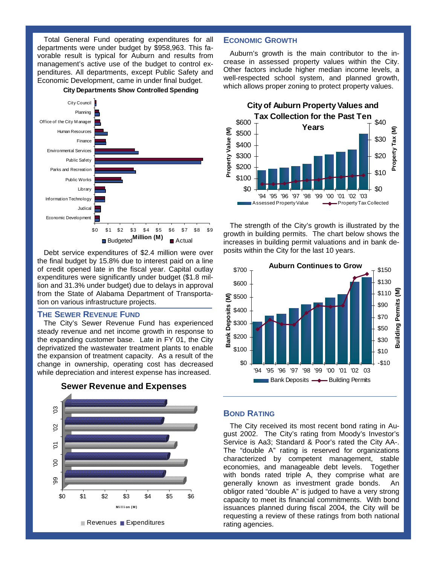Total General Fund operating expenditures for all departments were under budget by \$958,963. This favorable result is typical for Auburn and results from management's active use of the budget to control expenditures. All departments, except Public Safety and Economic Development, came in under final budget.



**City Departments Show Controlled Spending**

Debt service expenditures of \$2.4 million were over the final budget by 15.8% due to interest paid on a line of credit opened late in the fiscal year. Capital outlay expenditures were significantly under budget (\$1.8 million and 31.3% under budget) due to delays in approval from the State of Alabama Department of Transportation on various infrastructure projects.

#### **THE SEWER REVENUE FUND**

The City's Sewer Revenue Fund has experienced steady revenue and net income growth in response to the expanding customer base. Late in FY 01, the City deprivatized the wastewater treatment plants to enable the expansion of treatment capacity. As a result of the change in ownership, operating cost has decreased while depreciation and interest expense has increased.



**Sewer Revenue and Expenses**

## **ECONOMIC GROWTH**

Auburn's growth is the main contributor to the increase in assessed property values within the City. Other factors include higher median income levels, a well-respected school system, and planned growth, which allows proper zoning to protect property values.



The strength of the City's growth is illustrated by the growth in building permits. The chart below shows the increases in building permit valuations and in bank deposits within the City for the last 10 years.



# **BOND RATING**

The City received its most recent bond rating in August 2002. The City's rating from Moody's Investor's Service is Aa3; Standard & Poor's rated the City AA-. The "double A" rating is reserved for organizations characterized by competent management, stable economies, and manageable debt levels. Together with bonds rated triple A, they comprise what are generally known as investment grade bonds. An obligor rated "double A" is judged to have a very strong capacity to meet its financial commitments. With bond issuances planned during fiscal 2004, the City will be requesting a review of these ratings from both national rating agencies.